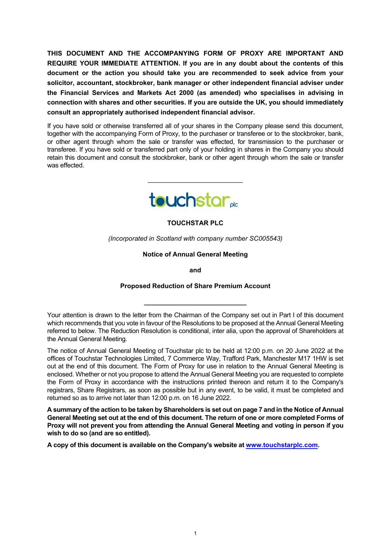**THIS DOCUMENT AND THE ACCOMPANYING FORM OF PROXY ARE IMPORTANT AND REQUIRE YOUR IMMEDIATE ATTENTION. If you are in any doubt about the contents of this document or the action you should take you are recommended to seek advice from your solicitor, accountant, stockbroker, bank manager or other independent financial adviser under the Financial Services and Markets Act 2000 (as amended) who specialises in advising in connection with shares and other securities. If you are outside the UK, you should immediately consult an appropriately authorised independent financial advisor.**

If you have sold or otherwise transferred all of your shares in the Company please send this document, together with the accompanying Form of Proxy, to the purchaser or transferee or to the stockbroker, bank, or other agent through whom the sale or transfer was effected, for transmission to the purchaser or transferee. If you have sold or transferred part only of your holding in shares in the Company you should retain this document and consult the stockbroker, bank or other agent through whom the sale or transfer was effected.



\_\_\_\_\_\_\_\_\_\_\_\_\_\_\_\_\_\_\_\_\_\_\_\_\_\_

**TOUCHSTAR PLC**

*(Incorporated in Scotland with company number SC005543)*

**Notice of Annual General Meeting**

**and** 

# **Proposed Reduction of Share Premium Account**

**\_\_\_\_\_\_\_\_\_\_\_\_\_\_\_\_\_\_\_\_\_\_\_\_\_\_\_\_**

**A summary of the action to be taken by Shareholders is set out on page 7 and in the Notice of Annual General Meeting set out at the end of this document. The return of one or more completed Forms of Proxy will not prevent you from attending the Annual General Meeting and voting in person if you wish to do so (and are so entitled).**

**A copy of this document is available on the Company's website at [www.touchstarplc.com.](http://www.touchstarplc.com/)** 

Your attention is drawn to the letter from the Chairman of the Company set out in Part I of this document which recommends that you vote in favour of the Resolutions to be proposed at the Annual General Meeting referred to below. The Reduction Resolution is conditional, inter alia, upon the approval of Shareholders at the Annual General Meeting.

The notice of Annual General Meeting of Touchstar plc to be held at 12:00 p.m. on 20 June 2022 at the offices of Touchstar Technologies Limited, 7 Commerce Way, Trafford Park, Manchester M17 1HW is set out at the end of this document. The Form of Proxy for use in relation to the Annual General Meeting is enclosed. Whether or not you propose to attend the Annual General Meeting you are requested to complete the Form of Proxy in accordance with the instructions printed thereon and return it to the Company's registrars, Share Registrars, as soon as possible but in any event, to be valid, it must be completed and returned so as to arrive not later than 12:00 p.m. on 16 June 2022.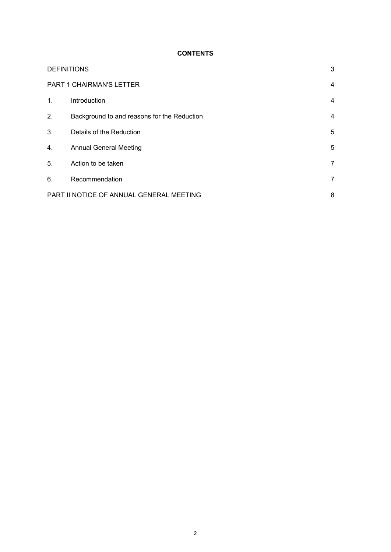# **CONTENTS**

|                                               | <b>DEFINITIONS</b>                          |                |
|-----------------------------------------------|---------------------------------------------|----------------|
|                                               | PART 1 CHAIRMAN'S LETTER                    |                |
| $\mathbf{1}$ .                                | Introduction                                | 4              |
| 2.                                            | Background to and reasons for the Reduction | 4              |
| 3.                                            | Details of the Reduction                    | 5              |
| 4.                                            | <b>Annual General Meeting</b>               | 5              |
| 5.                                            | Action to be taken                          | $\overline{7}$ |
| 6.                                            | Recommendation                              | $\overline{7}$ |
| PART II NOTICE OF ANNUAL GENERAL MEETING<br>8 |                                             |                |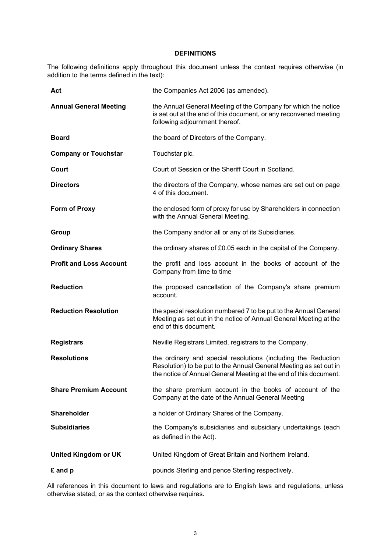#### **DEFINITIONS**

The following definitions apply throughout this document unless the context requires otherwise (in addition to the terms defined in the text):

| Act                            | the Companies Act 2006 (as amended).                                                                                                                                                                    |
|--------------------------------|---------------------------------------------------------------------------------------------------------------------------------------------------------------------------------------------------------|
| <b>Annual General Meeting</b>  | the Annual General Meeting of the Company for which the notice<br>is set out at the end of this document, or any reconvened meeting<br>following adjournment thereof.                                   |
| <b>Board</b>                   | the board of Directors of the Company.                                                                                                                                                                  |
| <b>Company or Touchstar</b>    | Touchstar plc.                                                                                                                                                                                          |
| Court                          | Court of Session or the Sheriff Court in Scotland.                                                                                                                                                      |
| <b>Directors</b>               | the directors of the Company, whose names are set out on page<br>4 of this document.                                                                                                                    |
| <b>Form of Proxy</b>           | the enclosed form of proxy for use by Shareholders in connection<br>with the Annual General Meeting.                                                                                                    |
| Group                          | the Company and/or all or any of its Subsidiaries.                                                                                                                                                      |
| <b>Ordinary Shares</b>         | the ordinary shares of £0.05 each in the capital of the Company.                                                                                                                                        |
| <b>Profit and Loss Account</b> | the profit and loss account in the books of account of the<br>Company from time to time                                                                                                                 |
| <b>Reduction</b>               | the proposed cancellation of the Company's share premium<br>account.                                                                                                                                    |
| <b>Reduction Resolution</b>    | the special resolution numbered 7 to be put to the Annual General<br>Meeting as set out in the notice of Annual General Meeting at the<br>end of this document.                                         |
| <b>Registrars</b>              | Neville Registrars Limited, registrars to the Company.                                                                                                                                                  |
| <b>Resolutions</b>             | the ordinary and special resolutions (including the Reduction<br>Resolution) to be put to the Annual General Meeting as set out in<br>the notice of Annual General Meeting at the end of this document. |
| <b>Share Premium Account</b>   | the share premium account in the books of account of the<br>Company at the date of the Annual General Meeting                                                                                           |
| <b>Shareholder</b>             | a holder of Ordinary Shares of the Company.                                                                                                                                                             |
| <b>Subsidiaries</b>            | the Company's subsidiaries and subsidiary undertakings (each<br>as defined in the Act).                                                                                                                 |
| United Kingdom or UK           | United Kingdom of Great Britain and Northern Ireland.                                                                                                                                                   |
| £ and p                        | pounds Sterling and pence Sterling respectively.                                                                                                                                                        |

All references in this document to laws and regulations are to English laws and regulations, unless otherwise stated, or as the context otherwise requires.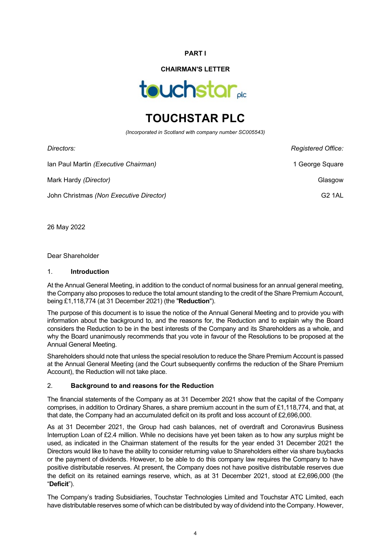### **PART I**

# **CHAIRMAN'S LETTER**



# **TOUCHSTAR PLC**

*(Incorporated in Scotland with company number SC005543)*

| Registered Office: |
|--------------------|
| 1 George Square    |
| Glasgow            |
| <b>G2 1AL</b>      |
|                    |

26 May 2022

Dear Shareholder

#### 1. **Introduction**

At the Annual General Meeting, in addition to the conduct of normal business for an annual general meeting, the Company also proposes to reduce the total amount standing to the credit of the Share Premium Account, being £1,118,774 (at 31 December 2021) (the "**Reduction**").

The purpose of this document is to issue the notice of the Annual General Meeting and to provide you with information about the background to, and the reasons for, the Reduction and to explain why the Board considers the Reduction to be in the best interests of the Company and its Shareholders as a whole, and why the Board unanimously recommends that you vote in favour of the Resolutions to be proposed at the Annual General Meeting.

Shareholders should note that unless the special resolution to reduce the Share Premium Account is passed at the Annual General Meeting (and the Court subsequently confirms the reduction of the Share Premium Account), the Reduction will not take place.

# 2. **Background to and reasons for the Reduction**

The financial statements of the Company as at 31 December 2021 show that the capital of the Company comprises, in addition to Ordinary Shares, a share premium account in the sum of £1,118,774, and that, at that date, the Company had an accumulated deficit on its profit and loss account of £2,696,000.

As at 31 December 2021, the Group had cash balances, net of overdraft and Coronavirus Business Interruption Loan of £2.4 million. While no decisions have yet been taken as to how any surplus might be used, as indicated in the Chairman statement of the results for the year ended 31 December 2021 the Directors would like to have the ability to consider returning value to Shareholders either via share buybacks or the payment of dividends. However, to be able to do this company law requires the Company to have positive distributable reserves. At present, the Company does not have positive distributable reserves due the deficit on its retained earnings reserve, which, as at 31 December 2021, stood at £2,696,000 (the "**Deficit**").

The Company's trading Subsidiaries, Touchstar Technologies Limited and Touchstar ATC Limited, each have distributable reserves some of which can be distributed by way of dividend into the Company. However,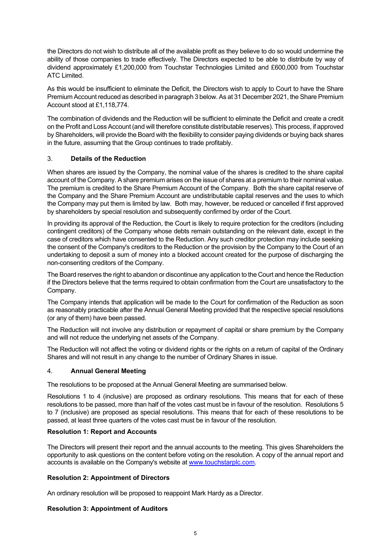the Directors do not wish to distribute all of the available profit as they believe to do so would undermine the ability of those companies to trade effectively. The Directors expected to be able to distribute by way of dividend approximately £1,200,000 from Touchstar Technologies Limited and £600,000 from Touchstar ATC Limited.

As this would be insufficient to eliminate the Deficit, the Directors wish to apply to Court to have the Share Premium Account reduced as described in paragraph 3 below. As at 31 December 2021, the Share Premium Account stood at £1,118,774.

The combination of dividends and the Reduction will be sufficient to eliminate the Deficit and create a credit on the Profit and Loss Account (and will therefore constitute distributable reserves). This process, if approved by Shareholders, will provide the Board with the flexibility to consider paying dividends or buying back shares in the future, assuming that the Group continues to trade profitably.

# 3. **Details of the Reduction**

When shares are issued by the Company, the nominal value of the shares is credited to the share capital account of the Company. A share premium arises on the issue of shares at a premium to their nominal value. The premium is credited to the Share Premium Account of the Company. Both the share capital reserve of the Company and the Share Premium Account are undistributable capital reserves and the uses to which the Company may put them is limited by law. Both may, however, be reduced or cancelled if first approved by shareholders by special resolution and subsequently confirmed by order of the Court.

In providing its approval of the Reduction, the Court is likely to require protection for the creditors (including contingent creditors) of the Company whose debts remain outstanding on the relevant date, except in the case of creditors which have consented to the Reduction. Any such creditor protection may include seeking the consent of the Company's creditors to the Reduction or the provision by the Company to the Court of an undertaking to deposit a sum of money into a blocked account created for the purpose of discharging the non-consenting creditors of the Company.

The Board reserves the right to abandon or discontinue any application to the Court and hence the Reduction if the Directors believe that the terms required to obtain confirmation from the Court are unsatisfactory to the Company.

The Company intends that application will be made to the Court for confirmation of the Reduction as soon as reasonably practicable after the Annual General Meeting provided that the respective special resolutions (or any of them) have been passed.

The Reduction will not involve any distribution or repayment of capital or share premium by the Company and will not reduce the underlying net assets of the Company.

The Reduction will not affect the voting or dividend rights or the rights on a return of capital of the Ordinary Shares and will not result in any change to the number of Ordinary Shares in issue.

# 4. **Annual General Meeting**

The resolutions to be proposed at the Annual General Meeting are summarised below.

Resolutions 1 to 4 (inclusive) are proposed as ordinary resolutions. This means that for each of these resolutions to be passed, more than half of the votes cast must be in favour of the resolution. Resolutions 5 to 7 (inclusive) are proposed as special resolutions. This means that for each of these resolutions to be passed, at least three quarters of the votes cast must be in favour of the resolution.

# **Resolution 1: Report and Accounts**

The Directors will present their report and the annual accounts to the meeting. This gives Shareholders the opportunity to ask questions on the content before voting on the resolution. A copy of the annual report and accounts is available on the Company's website at [www.touchstarplc.com.](http://www.touchstarplc.com/)

# **Resolution 2: Appointment of Directors**

An ordinary resolution will be proposed to reappoint Mark Hardy as a Director.

# **Resolution 3: Appointment of Auditors**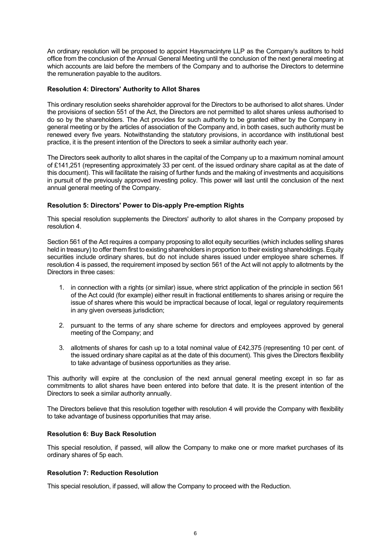An ordinary resolution will be proposed to appoint Haysmacintyre LLP as the Company's auditors to hold office from the conclusion of the Annual General Meeting until the conclusion of the next general meeting at which accounts are laid before the members of the Company and to authorise the Directors to determine the remuneration payable to the auditors.

# **Resolution 4: Directors' Authority to Allot Shares**

This ordinary resolution seeks shareholder approval for the Directors to be authorised to allot shares. Under the provisions of section 551 of the Act, the Directors are not permitted to allot shares unless authorised to do so by the shareholders. The Act provides for such authority to be granted either by the Company in general meeting or by the articles of association of the Company and, in both cases, such authority must be renewed every five years. Notwithstanding the statutory provisions, in accordance with institutional best practice, it is the present intention of the Directors to seek a similar authority each year.

The Directors seek authority to allot shares in the capital of the Company up to a maximum nominal amount of £141,251 (representing approximately 33 per cent. of the issued ordinary share capital as at the date of this document). This will facilitate the raising of further funds and the making of investments and acquisitions in pursuit of the previously approved investing policy. This power will last until the conclusion of the next annual general meeting of the Company.

# **Resolution 5: Directors' Power to Dis-apply Pre-emption Rights**

This special resolution supplements the Directors' authority to allot shares in the Company proposed by resolution 4.

Section 561 of the Act requires a company proposing to allot equity securities (which includes selling shares held in treasury) to offer them first to existing shareholders in proportion to their existing shareholdings. Equity securities include ordinary shares, but do not include shares issued under employee share schemes. If resolution 4 is passed, the requirement imposed by section 561 of the Act will not apply to allotments by the Directors in three cases:

- 1. in connection with a rights (or similar) issue, where strict application of the principle in section 561 of the Act could (for example) either result in fractional entitlements to shares arising or require the issue of shares where this would be impractical because of local, legal or regulatory requirements in any given overseas jurisdiction;
- 2. pursuant to the terms of any share scheme for directors and employees approved by general meeting of the Company; and
- 3. allotments of shares for cash up to a total nominal value of £42,375 (representing 10 per cent. of the issued ordinary share capital as at the date of this document). This gives the Directors flexibility to take advantage of business opportunities as they arise.

This authority will expire at the conclusion of the next annual general meeting except in so far as commitments to allot shares have been entered into before that date. It is the present intention of the Directors to seek a similar authority annually.

The Directors believe that this resolution together with resolution 4 will provide the Company with flexibility to take advantage of business opportunities that may arise.

#### **Resolution 6: Buy Back Resolution**

This special resolution, if passed, will allow the Company to make one or more market purchases of its ordinary shares of 5p each.

#### **Resolution 7: Reduction Resolution**

This special resolution, if passed, will allow the Company to proceed with the Reduction.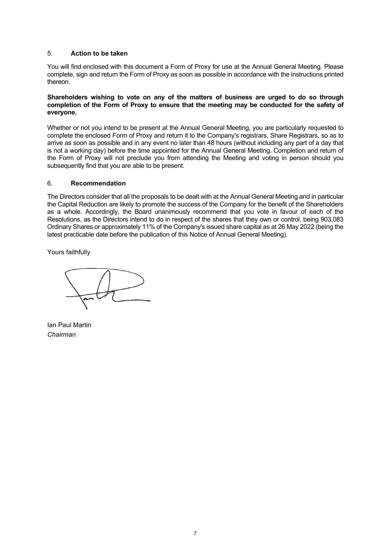# 5. **Action to be taken**

You will find enclosed with this document a Form of Proxy for use at the Annual General Meeting. Please complete, sign and return the Form of Proxy as soon as possible in accordance with the instructions printed thereon.

#### **Shareholders wishing to vote on any of the matters of business are urged to do so through completion of the Form of Proxy to ensure that the meeting may be conducted for the safety of everyone.**

Whether or not you intend to be present at the Annual General Meeting, you are particularly requested to complete the enclosed Form of Proxy and return it to the Company's registrars, Share Registrars, so as to arrive as soon as possible and in any event no later than 48 hours (without including any part of a day that is not a working day) before the time appointed for the Annual General Meeting. Completion and return of the Form of Proxy will not preclude you from attending the Meeting and voting in person should you subsequently find that you are able to be present.

# 6. **Recommendation**

The Directors consider that all the proposals to be dealt with at the Annual General Meeting and in particular the Capital Reduction are likely to promote the success of the Company for the benefit of the Shareholders as a whole. Accordingly, the Board unanimously recommend that you vote in favour of each of the Resolutions, as the Directors intend to do in respect of the shares that they own or control, being 903,083 Ordinary Shares or approximately 11% of the Company's issued share capital as at 26 May 2022 (being the latest practicable date before the publication of this Notice of Annual General Meeting).

Yours faithfully

Ian Paul Martin *Chairman*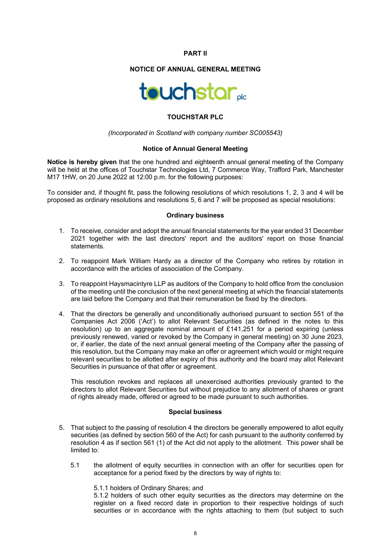#### **PART II**

# **NOTICE OF ANNUAL GENERAL MEETING**



# **TOUCHSTAR PLC**

#### *(Incorporated in Scotland with company number SC005543)*

#### **Notice of Annual General Meeting**

**Notice is hereby given** that the one hundred and eighteenth annual general meeting of the Company will be held at the offices of Touchstar Technologies Ltd, 7 Commerce Way, Trafford Park, Manchester M17 1HW, on 20 June 2022 at 12:00 p.m. for the following purposes:

To consider and, if thought fit, pass the following resolutions of which resolutions 1, 2, 3 and 4 will be proposed as ordinary resolutions and resolutions 5, 6 and 7 will be proposed as special resolutions:

#### **Ordinary business**

- 1. To receive, consider and adopt the annual financial statements for the year ended 31 December 2021 together with the last directors' report and the auditors' report on those financial statements.
- 2. To reappoint Mark William Hardy as a director of the Company who retires by rotation in accordance with the articles of association of the Company.
- 3. To reappoint Haysmacintyre LLP as auditors of the Company to hold office from the conclusion of the meeting until the conclusion of the next general meeting at which the financial statements are laid before the Company and that their remuneration be fixed by the directors.
- 4. That the directors be generally and unconditionally authorised pursuant to section 551 of the Companies Act 2006 ('Act') to allot Relevant Securities (as defined in the notes to this resolution) up to an aggregate nominal amount of £141,251 for a period expiring (unless previously renewed, varied or revoked by the Company in general meeting) on 30 June 2023, or, if earlier, the date of the next annual general meeting of the Company after the passing of this resolution, but the Company may make an offer or agreement which would or might require relevant securities to be allotted after expiry of this authority and the board may allot Relevant Securities in pursuance of that offer or agreement.

This resolution revokes and replaces all unexercised authorities previously granted to the directors to allot Relevant Securities but without prejudice to any allotment of shares or grant of rights already made, offered or agreed to be made pursuant to such authorities.

#### **Special business**

- 5. That subject to the passing of resolution 4 the directors be generally empowered to allot equity securities (as defined by section 560 of the Act) for cash pursuant to the authority conferred by resolution 4 as if section 561 (1) of the Act did not apply to the allotment. This power shall be limited to:
	- 5.1 the allotment of equity securities in connection with an offer for securities open for acceptance for a period fixed by the directors by way of rights to:

#### 5.1.1 holders of Ordinary Shares; and

5.1.2 holders of such other equity securities as the directors may determine on the register on a fixed record date in proportion to their respective holdings of such securities or in accordance with the rights attaching to them (but subject to such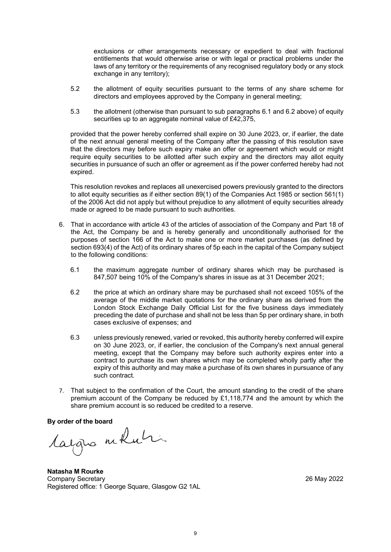exclusions or other arrangements necessary or expedient to deal with fractional entitlements that would otherwise arise or with legal or practical problems under the laws of any territory or the requirements of any recognised regulatory body or any stock exchange in any territory);

- 5.2 the allotment of equity securities pursuant to the terms of any share scheme for directors and employees approved by the Company in general meeting;
- 5.3 the allotment (otherwise than pursuant to sub paragraphs 6.1 and 6.2 above) of equity securities up to an aggregate nominal value of £42,375,

provided that the power hereby conferred shall expire on 30 June 2023, or, if earlier, the date of the next annual general meeting of the Company after the passing of this resolution save that the directors may before such expiry make an offer or agreement which would or might require equity securities to be allotted after such expiry and the directors may allot equity securities in pursuance of such an offer or agreement as if the power conferred hereby had not expired.

This resolution revokes and replaces all unexercised powers previously granted to the directors to allot equity securities as if either section 89(1) of the Companies Act 1985 or section 561(1) of the 2006 Act did not apply but without prejudice to any allotment of equity securities already made or agreed to be made pursuant to such authorities.

- 6. That in accordance with article 43 of the articles of association of the Company and Part 18 of the Act, the Company be and is hereby generally and unconditionally authorised for the purposes of section 166 of the Act to make one or more market purchases (as defined by section 693(4) of the Act) of its ordinary shares of 5p each in the capital of the Company subject to the following conditions:
	- 6.1 the maximum aggregate number of ordinary shares which may be purchased is 847,507 being 10% of the Company's shares in issue as at 31 December 2021;
	- 6.2 the price at which an ordinary share may be purchased shall not exceed 105% of the average of the middle market quotations for the ordinary share as derived from the London Stock Exchange Daily Official List for the five business days immediately preceding the date of purchase and shall not be less than 5p per ordinary share, in both cases exclusive of expenses; and
	- 6.3 unless previously renewed, varied or revoked, this authority hereby conferred will expire on 30 June 2023, or, if earlier, the conclusion of the Company's next annual general meeting, except that the Company may before such authority expires enter into a contract to purchase its own shares which may be completed wholly partly after the expiry of this authority and may make a purchase of its own shares in pursuance of any such contract.
- 7. That subject to the confirmation of the Court, the amount standing to the credit of the share premium account of the Company be reduced by £1,118,774 and the amount by which the share premium account is so reduced be credited to a reserve.

**By order of the board**

**Natasha M Rourke** Company Secretary 26 May 2022 Registered office: 1 George Square, Glasgow G2 1AL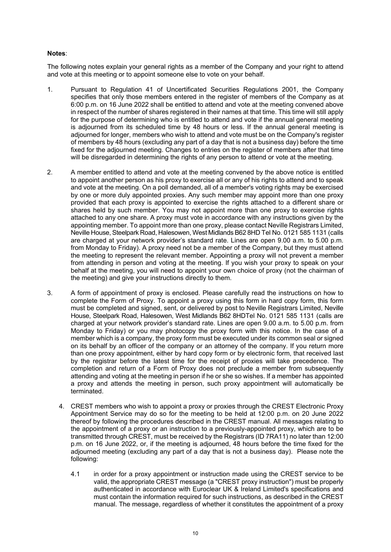# **Notes**:

The following notes explain your general rights as a member of the Company and your right to attend and vote at this meeting or to appoint someone else to vote on your behalf.

- 1. Pursuant to Regulation 41 of Uncertificated Securities Regulations 2001, the Company specifies that only those members entered in the register of members of the Company as at 6:00 p.m. on 16 June 2022 shall be entitled to attend and vote at the meeting convened above in respect of the number of shares registered in their names at that time. This time will still apply for the purpose of determining who is entitled to attend and vote if the annual general meeting is adjourned from its scheduled time by 48 hours or less. If the annual general meeting is adjourned for longer, members who wish to attend and vote must be on the Company's register of members by 48 hours (excluding any part of a day that is not a business day) before the time fixed for the adjourned meeting. Changes to entries on the register of members after that time will be disregarded in determining the rights of any person to attend or vote at the meeting.
- 2. A member entitled to attend and vote at the meeting convened by the above notice is entitled to appoint another person as his proxy to exercise all or any of his rights to attend and to speak and vote at the meeting. On a poll demanded, all of a member's voting rights may be exercised by one or more duly appointed proxies. Any such member may appoint more than one proxy provided that each proxy is appointed to exercise the rights attached to a different share or shares held by such member. You may not appoint more than one proxy to exercise rights attached to any one share. A proxy must vote in accordance with any instructions given by the appointing member. To appoint more than one proxy, please contact Neville Registrars Limited, Neville House, Steelpark Road, Halesowen, West Midlands B62 8HD Tel No. 0121 585 1131 (calls are charged at your network provider's standard rate. Lines are open 9.00 a.m. to 5.00 p.m. from Monday to Friday). A proxy need not be a member of the Company, but they must attend the meeting to represent the relevant member. Appointing a proxy will not prevent a member from attending in person and voting at the meeting. If you wish your proxy to speak on your behalf at the meeting, you will need to appoint your own choice of proxy (not the chairman of the meeting) and give your instructions directly to them.
- 3. A form of appointment of proxy is enclosed. Please carefully read the instructions on how to complete the Form of Proxy. To appoint a proxy using this form in hard copy form, this form must be completed and signed, sent, or delivered by post to Neville Registrars Limited, Neville House, Steelpark Road, Halesowen, West Midlands B62 8HDTel No. 0121 585 1131 (calls are charged at your network provider's standard rate. Lines are open 9.00 a.m. to 5.00 p.m. from Monday to Friday) or you may photocopy the proxy form with this notice. In the case of a member which is a company, the proxy form must be executed under its common seal or signed on its behalf by an officer of the company or an attorney of the company. If you return more than one proxy appointment, either by hard copy form or by electronic form, that received last by the registrar before the latest time for the receipt of proxies will take precedence. The completion and return of a Form of Proxy does not preclude a member from subsequently attending and voting at the meeting in person if he or she so wishes. If a member has appointed a proxy and attends the meeting in person, such proxy appointment will automatically be terminated.
	- 4. CREST members who wish to appoint a proxy or proxies through the CREST Electronic Proxy Appointment Service may do so for the meeting to be held at 12:00 p.m. on 20 June 2022 thereof by following the procedures described in the CREST manual. All messages relating to the appointment of a proxy or an instruction to a previously-appointed proxy, which are to be transmitted through CREST, must be received by the Registrars (ID 7RA11) no later than 12:00 p.m. on 16 June 2022, or, if the meeting is adjourned, 48 hours before the time fixed for the adjourned meeting (excluding any part of a day that is not a business day). Please note the following:
		- 4.1 in order for a proxy appointment or instruction made using the CREST service to be valid, the appropriate CREST message (a "CREST proxy instruction") must be properly authenticated in accordance with Euroclear UK & Ireland Limited's specifications and must contain the information required for such instructions, as described in the CREST manual. The message, regardless of whether it constitutes the appointment of a proxy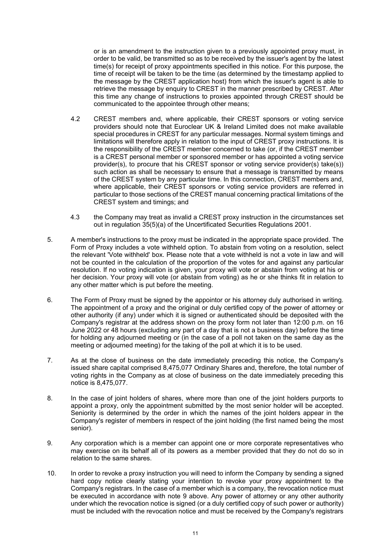or is an amendment to the instruction given to a previously appointed proxy must, in order to be valid, be transmitted so as to be received by the issuer's agent by the latest time(s) for receipt of proxy appointments specified in this notice. For this purpose, the time of receipt will be taken to be the time (as determined by the timestamp applied to the message by the CREST application host) from which the issuer's agent is able to retrieve the message by enquiry to CREST in the manner prescribed by CREST. After this time any change of instructions to proxies appointed through CREST should be communicated to the appointee through other means;

- 4.2 CREST members and, where applicable, their CREST sponsors or voting service providers should note that Euroclear UK & Ireland Limited does not make available special procedures in CREST for any particular messages. Normal system timings and limitations will therefore apply in relation to the input of CREST proxy instructions. It is the responsibility of the CREST member concerned to take (or, if the CREST member is a CREST personal member or sponsored member or has appointed a voting service provider(s), to procure that his CREST sponsor or voting service provider(s) take(s)) such action as shall be necessary to ensure that a message is transmitted by means of the CREST system by any particular time. In this connection, CREST members and, where applicable, their CREST sponsors or voting service providers are referred in particular to those sections of the CREST manual concerning practical limitations of the CREST system and timings; and
- 4.3 the Company may treat as invalid a CREST proxy instruction in the circumstances set out in regulation 35(5)(a) of the Uncertificated Securities Regulations 2001.
- 5. A member's instructions to the proxy must be indicated in the appropriate space provided. The Form of Proxy includes a vote withheld option. To abstain from voting on a resolution, select the relevant 'Vote withheld' box. Please note that a vote withheld is not a vote in law and will not be counted in the calculation of the proportion of the votes for and against any particular resolution. If no voting indication is given, your proxy will vote or abstain from voting at his or her decision. Your proxy will vote (or abstain from voting) as he or she thinks fit in relation to any other matter which is put before the meeting.
- 6. The Form of Proxy must be signed by the appointor or his attorney duly authorised in writing. The appointment of a proxy and the original or duly certified copy of the power of attorney or other authority (if any) under which it is signed or authenticated should be deposited with the Company's registrar at the address shown on the proxy form not later than 12:00 p.m. on 16 June 2022 or 48 hours (excluding any part of a day that is not a business day) before the time for holding any adjourned meeting or (in the case of a poll not taken on the same day as the meeting or adjourned meeting) for the taking of the poll at which it is to be used.
- 7. As at the close of business on the date immediately preceding this notice, the Company's issued share capital comprised 8,475,077 Ordinary Shares and, therefore, the total number of voting rights in the Company as at close of business on the date immediately preceding this notice is 8,475,077.
- 8. In the case of joint holders of shares, where more than one of the joint holders purports to appoint a proxy, only the appointment submitted by the most senior holder will be accepted. Seniority is determined by the order in which the names of the joint holders appear in the Company's register of members in respect of the joint holding (the first named being the most senior).
- 9. Any corporation which is a member can appoint one or more corporate representatives who may exercise on its behalf all of its powers as a member provided that they do not do so in relation to the same shares.
- 10. In order to revoke a proxy instruction you will need to inform the Company by sending a signed hard copy notice clearly stating your intention to revoke your proxy appointment to the Company's registrars. In the case of a member which is a company, the revocation notice must be executed in accordance with note 9 above. Any power of attorney or any other authority under which the revocation notice is signed (or a duly certified copy of such power or authority) must be included with the revocation notice and must be received by the Company's registrars